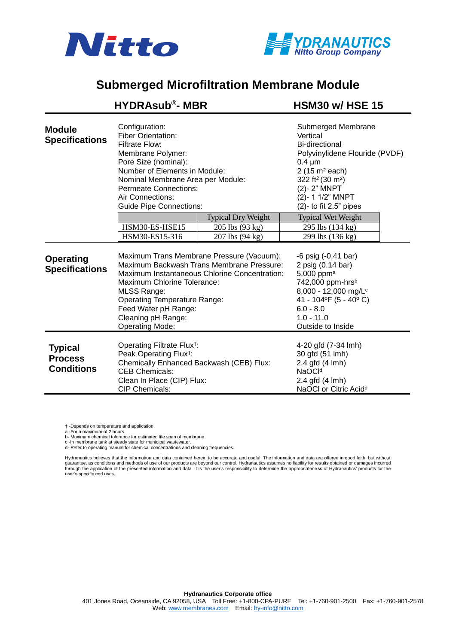



## **Submerged Microfiltration Membrane Module**

|                                                       | <b>HYDRAsub®- MBR</b>                                                                                                                                                                                                                                                                                       |                           | <b>HSM30 w/ HSE 15</b>                                                                                                                                                                                                                          |  |
|-------------------------------------------------------|-------------------------------------------------------------------------------------------------------------------------------------------------------------------------------------------------------------------------------------------------------------------------------------------------------------|---------------------------|-------------------------------------------------------------------------------------------------------------------------------------------------------------------------------------------------------------------------------------------------|--|
| <b>Module</b><br><b>Specifications</b>                | Configuration:<br><b>Fiber Orientation:</b><br>Filtrate Flow:<br>Membrane Polymer:<br>Pore Size (nominal):<br>Number of Elements in Module:<br>Nominal Membrane Area per Module:<br><b>Permeate Connections:</b><br>Air Connections:<br><b>Guide Pipe Connections:</b>                                      |                           | Submerged Membrane<br>Vertical<br>Bi-directional<br>Polyvinylidene Flouride (PVDF)<br>$0.4 \mu m$<br>$2(15 \text{ m}^2 \text{ each})$<br>322 ft <sup>2</sup> (30 m <sup>2</sup> )<br>(2)-2" MNPT<br>(2)-11/2" MNPT<br>$(2)$ - to fit 2.5" pipes |  |
|                                                       |                                                                                                                                                                                                                                                                                                             | <b>Typical Dry Weight</b> | <b>Typical Wet Weight</b>                                                                                                                                                                                                                       |  |
|                                                       | HSM30-ES-HSE15                                                                                                                                                                                                                                                                                              | 205 lbs (93 kg)           | 295 lbs (134 kg)                                                                                                                                                                                                                                |  |
|                                                       | HSM30-ES15-316                                                                                                                                                                                                                                                                                              | 207 lbs (94 kg)           | 299 lbs (136 kg)                                                                                                                                                                                                                                |  |
| <b>Operating</b><br><b>Specifications</b>             | Maximum Trans Membrane Pressure (Vacuum):<br>Maximum Backwash Trans Membrane Pressure:<br>Maximum Instantaneous Chlorine Concentration:<br>Maximum Chlorine Tolerance:<br><b>MLSS Range:</b><br><b>Operating Temperature Range:</b><br>Feed Water pH Range:<br>Cleaning pH Range:<br><b>Operating Mode:</b> |                           | $-6$ psig $(-0.41$ bar)<br>2 psig (0.14 bar)<br>5,000 ppm <sup>a</sup><br>742,000 ppm-hrs <sup>b</sup><br>8,000 - 12,000 mg/L <sup>c</sup><br>41 - 104°F (5 - 40°C)<br>$6.0 - 8.0$<br>$1.0 - 11.0$<br>Outside to Inside                         |  |
| <b>Typical</b><br><b>Process</b><br><b>Conditions</b> | Operating Filtrate Flux <sup>†</sup> :<br>Peak Operating Flux <sup>†</sup> :<br>Chemically Enhanced Backwash (CEB) Flux:<br><b>CEB Chemicals:</b><br>Clean In Place (CIP) Flux:<br><b>CIP Chemicals:</b>                                                                                                    |                           | 4-20 gfd (7-34 lmh)<br>30 gfd (51 lmh)<br>2.4 gfd (4 lmh)<br>NaOCI <sup>d</sup><br>2.4 gfd (4 lmh)<br>NaOCI or Citric Acid <sup>d</sup>                                                                                                         |  |

† -Depends on temperature and application. a -For a maximum of 2 hours.

b- Maximum chemical tolerance for estimated life span of membrane.<br>c -In membrane tank at steady state for municipal wastewater.<br>d- Refer to operating manual for chemical concentrations and cleaning frequencies.

Hydranautics believes that the information and data contained herein to be accurate and useful. The information and data are offered in good faith, but without<br>guarantee, as conditions and methods of use of our products ar